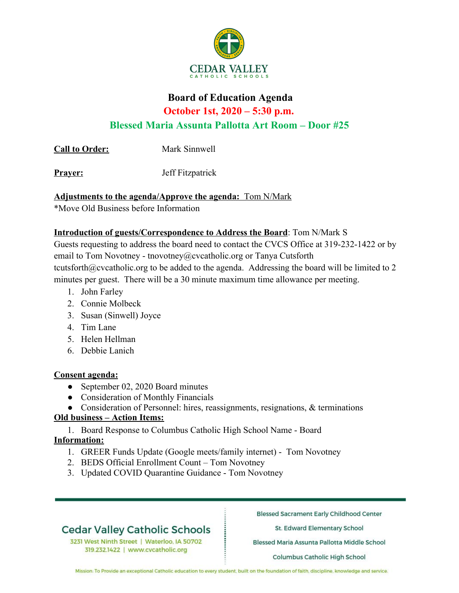

# **Board of Education Agenda October 1st, 2020 – 5:30 p.m.**

**Blessed Maria Assunta Pallotta Art Room – Door #25**

**Call to Order:** Mark Sinnwell

**Prayer:** Jeff Fitzpatrick

## **Adjustments to the agenda/Approve the agenda:** Tom N/Mark

\*Move Old Business before Information

## **Introduction of guests/Correspondence to Address the Board**: Tom N/Mark S

Guests requesting to address the board need to contact the CVCS Office at 319-232-1422 or by email to Tom Novotney - tnovotney@cvcatholic.org or Tanya Cutsforth tcutsforth@cvcatholic.org to be added to the agenda. Addressing the board will be limited to 2 minutes per guest. There will be a 30 minute maximum time allowance per meeting.

- 1. John Farley
- 2. Connie Molbeck
- 3. Susan (Sinwell) Joyce
- 4. Tim Lane
- 5. Helen Hellman
- 6. Debbie Lanich

## **Consent agenda:**

- September 02, 2020 Board minutes
- Consideration of Monthly Financials
- Consideration of Personnel: hires, reassignments, resignations, & terminations

## **Old business – Action Items:**

1. Board Response to Columbus Catholic High School Name - Board **Information:**

- 1. GREER Funds Update (Google meets/family internet) Tom Novotney
- 2. BEDS Official Enrollment Count Tom Novotney
- 3. Updated COVID Quarantine Guidance Tom Novotney

## **Cedar Valley Catholic Schools**

3231 West Ninth Street | Waterloo, IA 50702 319.232.1422 | www.cvcatholic.org

**Blessed Sacrament Early Childhood Center** 

St. Edward Elementary School

Blessed Maria Assunta Pallotta Middle School

Columbus Catholic High School

Mission: To Provide an exceptional Catholic education to every student, built on the foundation of faith, discipline, knowledge and service.